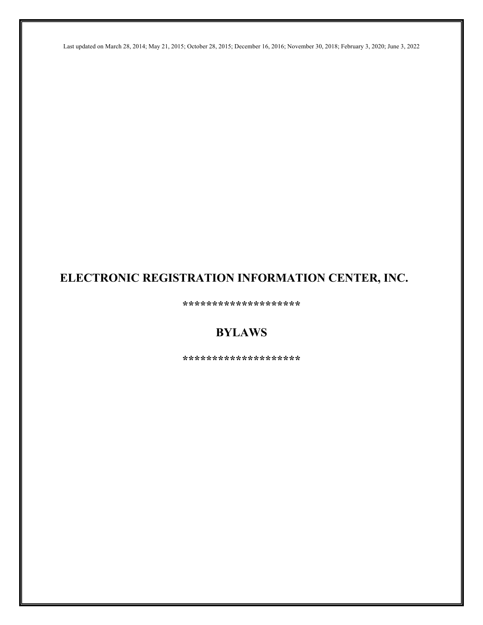Last updated on March 28, 2014; May 21, 2015; October 28, 2015; December 16, 2016; November 30, 2018; February 3, 2020; June 3, 2022

# **ELECTRONIC REGISTRATION INFORMATION CENTER, INC.**

**\*\*\*\*\*\*\*\*\*\*\*\*\*\*\*\*\*\*\*\***

# **BYLAWS**

**\*\*\*\*\*\*\*\*\*\*\*\*\*\*\*\*\*\*\*\***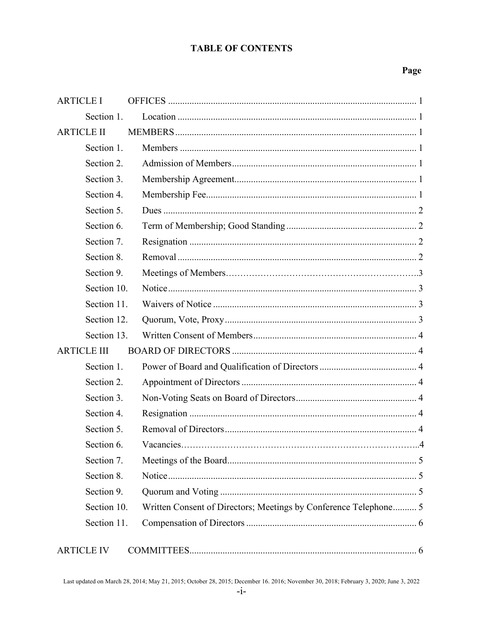# **TABLE OF CONTENTS**

# Page

| <b>ARTICLE I</b>   |                                                                  |
|--------------------|------------------------------------------------------------------|
| Section 1.         |                                                                  |
| <b>ARTICLE II</b>  |                                                                  |
| Section 1.         |                                                                  |
| Section 2.         |                                                                  |
| Section 3.         |                                                                  |
| Section 4.         |                                                                  |
| Section 5.         |                                                                  |
| Section 6.         |                                                                  |
| Section 7.         |                                                                  |
| Section 8.         |                                                                  |
| Section 9.         |                                                                  |
| Section 10.        |                                                                  |
| Section 11.        |                                                                  |
| Section 12.        |                                                                  |
| Section 13.        |                                                                  |
| <b>ARTICLE III</b> |                                                                  |
| Section 1.         |                                                                  |
| Section 2.         |                                                                  |
| Section 3.         |                                                                  |
| Section 4.         |                                                                  |
| Section 5.         |                                                                  |
| Section 6.         |                                                                  |
| Section 7.         |                                                                  |
| Section 8.         |                                                                  |
| Section 9.         |                                                                  |
| Section 10.        | Written Consent of Directors; Meetings by Conference Telephone 5 |
| Section 11.        |                                                                  |
| <b>ARTICLE IV</b>  |                                                                  |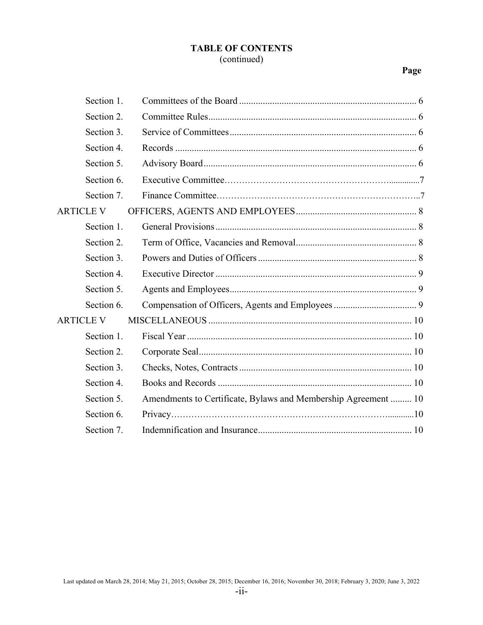# **TABLE OF CONTENTS** (continued)

# **Page**

| Section 1.       |                                                                |
|------------------|----------------------------------------------------------------|
| Section 2.       |                                                                |
| Section 3.       |                                                                |
| Section 4.       |                                                                |
| Section 5.       |                                                                |
| Section 6.       |                                                                |
| Section 7.       |                                                                |
| <b>ARTICLE V</b> |                                                                |
| Section 1.       |                                                                |
| Section 2.       |                                                                |
| Section 3.       |                                                                |
| Section 4.       |                                                                |
| Section 5.       |                                                                |
| Section 6.       |                                                                |
| <b>ARTICLE V</b> |                                                                |
| Section 1.       |                                                                |
| Section 2.       |                                                                |
| Section 3.       |                                                                |
| Section 4.       |                                                                |
| Section 5.       | Amendments to Certificate, Bylaws and Membership Agreement  10 |
| Section 6.       |                                                                |
| Section 7.       |                                                                |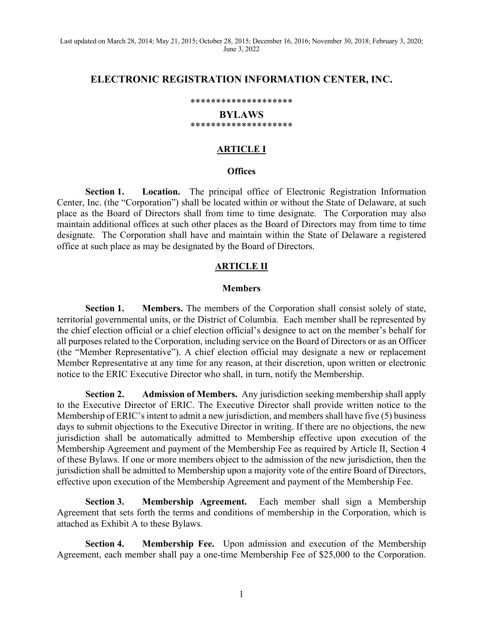Last updated on March 28, 2014; May 21, 2015; October 28, 2015; December 16, 2016; November 30, 2018; February 3, 2020; June 3, 2022

### **ELECTRONIC REGISTRATION INFORMATION CENTER, INC.**

#### \*\*\*\*\*\*\*\*\*\*\*\*\*\*\*\*\*\*\*\*

#### **BYLAWS** \*\*\*\*\*\*\*\*\*\*\*\*\*\*\*\*\*\*\*\*

#### **ARTICLE I**

#### **Offices**

**Section 1. Location.** The principal office of Electronic Registration Information Center, Inc. (the "Corporation") shall be located within or without the State of Delaware, at such place as the Board of Directors shall from time to time designate. The Corporation may also maintain additional offices at such other places as the Board of Directors may from time to time designate. The Corporation shall have and maintain within the State of Delaware a registered office at such place as may be designated by the Board of Directors.

#### **ARTICLE II**

#### **Members**

**Section 1. Members.** The members of the Corporation shall consist solely of state, territorial governmental units, or the District of Columbia. Each member shall be represented by the chief election official or a chief election official's designee to act on the member's behalf for all purposes related to the Corporation, including service on the Board of Directors or as an Officer (the "Member Representative"). A chief election official may designate a new or replacement Member Representative at any time for any reason, at their discretion, upon written or electronic notice to the ERIC Executive Director who shall, in turn, notify the Membership.

**Section 2. Admission of Members.** Any jurisdiction seeking membership shall apply to the Executive Director of ERIC. The Executive Director shall provide written notice to the Membership of ERIC's intent to admit a new jurisdiction, and members shall have five (5) business days to submit objections to the Executive Director in writing. If there are no objections, the new jurisdiction shall be automatically admitted to Membership effective upon execution of the Membership Agreement and payment of the Membership Fee as required by Article II, Section 4 of these Bylaws. If one or more members object to the admission of the new jurisdiction, then the jurisdiction shall be admitted to Membership upon a majority vote of the entire Board of Directors, effective upon execution of the Membership Agreement and payment of the Membership Fee.

**Section 3. Membership Agreement.** Each member shall sign a Membership Agreement that sets forth the terms and conditions of membership in the Corporation, which is attached as Exhibit A to these Bylaws.

**Section 4. Membership Fee.** Upon admission and execution of the Membership Agreement, each member shall pay a one-time Membership Fee of \$25,000 to the Corporation.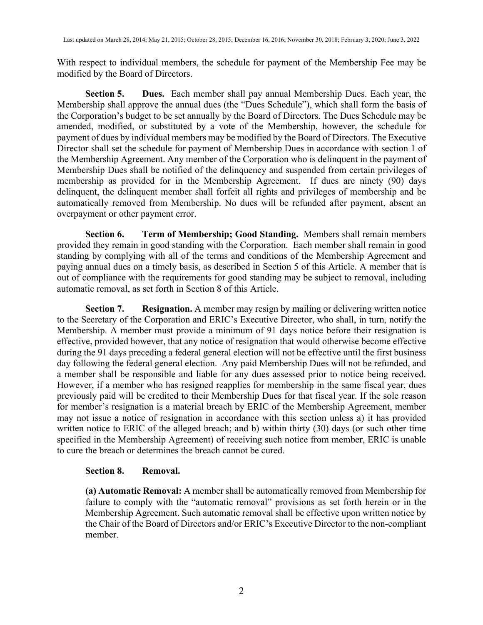With respect to individual members, the schedule for payment of the Membership Fee may be modified by the Board of Directors.

**Section 5. Dues.** Each member shall pay annual Membership Dues. Each year, the Membership shall approve the annual dues (the "Dues Schedule"), which shall form the basis of the Corporation's budget to be set annually by the Board of Directors. The Dues Schedule may be amended, modified, or substituted by a vote of the Membership, however, the schedule for payment of dues by individual members may be modified by the Board of Directors. The Executive Director shall set the schedule for payment of Membership Dues in accordance with section 1 of the Membership Agreement. Any member of the Corporation who is delinquent in the payment of Membership Dues shall be notified of the delinquency and suspended from certain privileges of membership as provided for in the Membership Agreement. If dues are ninety (90) days delinquent, the delinquent member shall forfeit all rights and privileges of membership and be automatically removed from Membership. No dues will be refunded after payment, absent an overpayment or other payment error.

**Section 6. Term of Membership; Good Standing.** Members shall remain members provided they remain in good standing with the Corporation. Each member shall remain in good standing by complying with all of the terms and conditions of the Membership Agreement and paying annual dues on a timely basis, as described in Section 5 of this Article. A member that is out of compliance with the requirements for good standing may be subject to removal, including automatic removal, as set forth in Section 8 of this Article.

**Section 7. Resignation.** A member may resign by mailing or delivering written notice to the Secretary of the Corporation and ERIC's Executive Director, who shall, in turn, notify the Membership. A member must provide a minimum of 91 days notice before their resignation is effective, provided however, that any notice of resignation that would otherwise become effective during the 91 days preceding a federal general election will not be effective until the first business day following the federal general election. Any paid Membership Dues will not be refunded, and a member shall be responsible and liable for any dues assessed prior to notice being received. However, if a member who has resigned reapplies for membership in the same fiscal year, dues previously paid will be credited to their Membership Dues for that fiscal year. If the sole reason for member's resignation is a material breach by ERIC of the Membership Agreement, member may not issue a notice of resignation in accordance with this section unless a) it has provided written notice to ERIC of the alleged breach; and b) within thirty (30) days (or such other time specified in the Membership Agreement) of receiving such notice from member, ERIC is unable to cure the breach or determines the breach cannot be cured.

### **Section 8. Removal.**

**(a) Automatic Removal:** A member shall be automatically removed from Membership for failure to comply with the "automatic removal" provisions as set forth herein or in the Membership Agreement. Such automatic removal shall be effective upon written notice by the Chair of the Board of Directors and/or ERIC's Executive Director to the non-compliant member.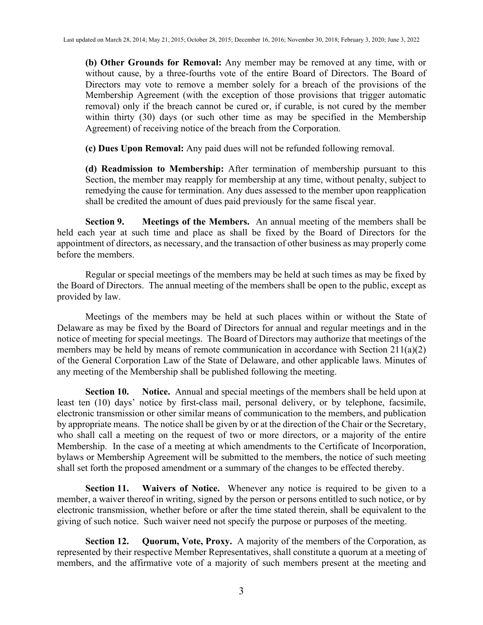**(b) Other Grounds for Removal:** Any member may be removed at any time, with or without cause, by a three-fourths vote of the entire Board of Directors. The Board of Directors may vote to remove a member solely for a breach of the provisions of the Membership Agreement (with the exception of those provisions that trigger automatic removal) only if the breach cannot be cured or, if curable, is not cured by the member within thirty (30) days (or such other time as may be specified in the Membership Agreement) of receiving notice of the breach from the Corporation.

**(c) Dues Upon Removal:** Any paid dues will not be refunded following removal.

**(d) Readmission to Membership:** After termination of membership pursuant to this Section, the member may reapply for membership at any time, without penalty, subject to remedying the cause for termination. Any dues assessed to the member upon reapplication shall be credited the amount of dues paid previously for the same fiscal year.

**Section 9. Meetings of the Members.** An annual meeting of the members shall be held each year at such time and place as shall be fixed by the Board of Directors for the appointment of directors, as necessary, and the transaction of other business as may properly come before the members.

Regular or special meetings of the members may be held at such times as may be fixed by the Board of Directors. The annual meeting of the members shall be open to the public, except as provided by law.

Meetings of the members may be held at such places within or without the State of Delaware as may be fixed by the Board of Directors for annual and regular meetings and in the notice of meeting for special meetings. The Board of Directors may authorize that meetings of the members may be held by means of remote communication in accordance with Section 211(a)(2) of the General Corporation Law of the State of Delaware, and other applicable laws. Minutes of any meeting of the Membership shall be published following the meeting.

**Section 10. Notice.** Annual and special meetings of the members shall be held upon at least ten (10) days' notice by first-class mail, personal delivery, or by telephone, facsimile, electronic transmission or other similar means of communication to the members, and publication by appropriate means. The notice shall be given by or at the direction of the Chair or the Secretary, who shall call a meeting on the request of two or more directors, or a majority of the entire Membership. In the case of a meeting at which amendments to the Certificate of Incorporation, bylaws or Membership Agreement will be submitted to the members, the notice of such meeting shall set forth the proposed amendment or a summary of the changes to be effected thereby.

**Section 11. Waivers of Notice.** Whenever any notice is required to be given to a member, a waiver thereof in writing, signed by the person or persons entitled to such notice, or by electronic transmission, whether before or after the time stated therein, shall be equivalent to the giving of such notice. Such waiver need not specify the purpose or purposes of the meeting.

**Section 12. Quorum, Vote, Proxy.** A majority of the members of the Corporation, as represented by their respective Member Representatives, shall constitute a quorum at a meeting of members, and the affirmative vote of a majority of such members present at the meeting and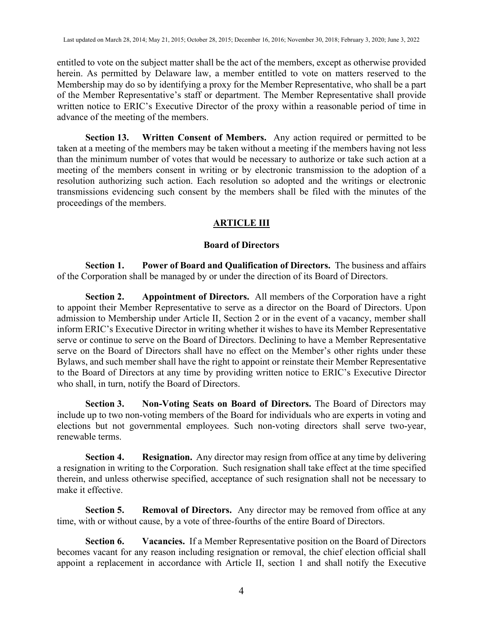entitled to vote on the subject matter shall be the act of the members, except as otherwise provided herein. As permitted by Delaware law, a member entitled to vote on matters reserved to the Membership may do so by identifying a proxy for the Member Representative, who shall be a part of the Member Representative's staff or department. The Member Representative shall provide written notice to ERIC's Executive Director of the proxy within a reasonable period of time in advance of the meeting of the members.

**Section 13. Written Consent of Members.** Any action required or permitted to be taken at a meeting of the members may be taken without a meeting if the members having not less than the minimum number of votes that would be necessary to authorize or take such action at a meeting of the members consent in writing or by electronic transmission to the adoption of a resolution authorizing such action. Each resolution so adopted and the writings or electronic transmissions evidencing such consent by the members shall be filed with the minutes of the proceedings of the members.

# **ARTICLE III**

# **Board of Directors**

**Section 1. Power of Board and Qualification of Directors.** The business and affairs of the Corporation shall be managed by or under the direction of its Board of Directors.

**Section 2. Appointment of Directors.** All members of the Corporation have a right to appoint their Member Representative to serve as a director on the Board of Directors. Upon admission to Membership under Article II, Section 2 or in the event of a vacancy, member shall inform ERIC's Executive Director in writing whether it wishes to have its Member Representative serve or continue to serve on the Board of Directors. Declining to have a Member Representative serve on the Board of Directors shall have no effect on the Member's other rights under these Bylaws, and such member shall have the right to appoint or reinstate their Member Representative to the Board of Directors at any time by providing written notice to ERIC's Executive Director who shall, in turn, notify the Board of Directors.

**Section 3. Non-Voting Seats on Board of Directors.** The Board of Directors may include up to two non-voting members of the Board for individuals who are experts in voting and elections but not governmental employees. Such non-voting directors shall serve two-year, renewable terms.

**Section 4. Resignation.** Any director may resign from office at any time by delivering a resignation in writing to the Corporation. Such resignation shall take effect at the time specified therein, and unless otherwise specified, acceptance of such resignation shall not be necessary to make it effective.

**Section 5. Removal of Directors.** Any director may be removed from office at any time, with or without cause, by a vote of three-fourths of the entire Board of Directors.

**Section 6. Vacancies.** If a Member Representative position on the Board of Directors becomes vacant for any reason including resignation or removal, the chief election official shall appoint a replacement in accordance with Article II, section 1 and shall notify the Executive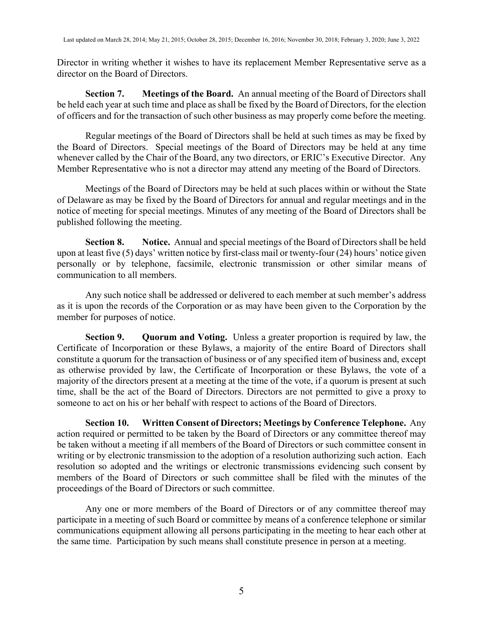Director in writing whether it wishes to have its replacement Member Representative serve as a director on the Board of Directors.

**Section 7. Meetings of the Board.** An annual meeting of the Board of Directors shall be held each year at such time and place as shall be fixed by the Board of Directors, for the election of officers and for the transaction of such other business as may properly come before the meeting.

Regular meetings of the Board of Directors shall be held at such times as may be fixed by the Board of Directors. Special meetings of the Board of Directors may be held at any time whenever called by the Chair of the Board, any two directors, or ERIC's Executive Director. Any Member Representative who is not a director may attend any meeting of the Board of Directors.

Meetings of the Board of Directors may be held at such places within or without the State of Delaware as may be fixed by the Board of Directors for annual and regular meetings and in the notice of meeting for special meetings. Minutes of any meeting of the Board of Directors shall be published following the meeting.

**Section 8. Notice.** Annual and special meetings of the Board of Directors shall be held upon at least five (5) days' written notice by first-class mail or twenty-four (24) hours' notice given personally or by telephone, facsimile, electronic transmission or other similar means of communication to all members.

Any such notice shall be addressed or delivered to each member at such member's address as it is upon the records of the Corporation or as may have been given to the Corporation by the member for purposes of notice.

**Section 9. Quorum and Voting.** Unless a greater proportion is required by law, the Certificate of Incorporation or these Bylaws, a majority of the entire Board of Directors shall constitute a quorum for the transaction of business or of any specified item of business and, except as otherwise provided by law, the Certificate of Incorporation or these Bylaws, the vote of a majority of the directors present at a meeting at the time of the vote, if a quorum is present at such time, shall be the act of the Board of Directors. Directors are not permitted to give a proxy to someone to act on his or her behalf with respect to actions of the Board of Directors.

**Section 10. Written Consent of Directors; Meetings by Conference Telephone.** Any action required or permitted to be taken by the Board of Directors or any committee thereof may be taken without a meeting if all members of the Board of Directors or such committee consent in writing or by electronic transmission to the adoption of a resolution authorizing such action. Each resolution so adopted and the writings or electronic transmissions evidencing such consent by members of the Board of Directors or such committee shall be filed with the minutes of the proceedings of the Board of Directors or such committee.

Any one or more members of the Board of Directors or of any committee thereof may participate in a meeting of such Board or committee by means of a conference telephone or similar communications equipment allowing all persons participating in the meeting to hear each other at the same time. Participation by such means shall constitute presence in person at a meeting.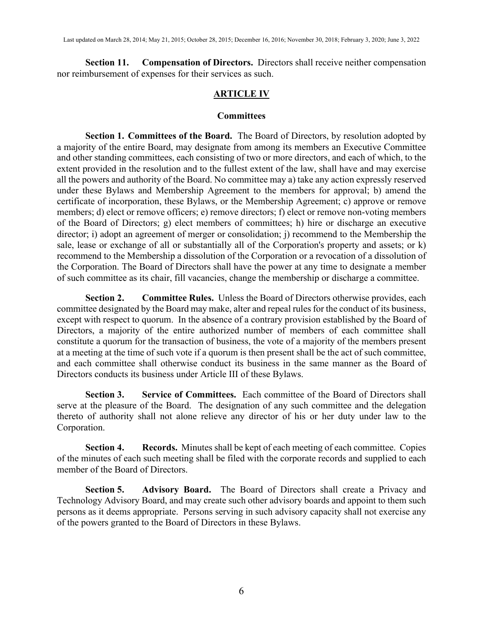**Section 11. Compensation of Directors.** Directors shall receive neither compensation nor reimbursement of expenses for their services as such.

# **ARTICLE IV**

### **Committees**

**Section 1. Committees of the Board.** The Board of Directors, by resolution adopted by a majority of the entire Board, may designate from among its members an Executive Committee and other standing committees, each consisting of two or more directors, and each of which, to the extent provided in the resolution and to the fullest extent of the law, shall have and may exercise all the powers and authority of the Board. No committee may a) take any action expressly reserved under these Bylaws and Membership Agreement to the members for approval; b) amend the certificate of incorporation, these Bylaws, or the Membership Agreement; c) approve or remove members; d) elect or remove officers; e) remove directors; f) elect or remove non-voting members of the Board of Directors; g) elect members of committees; h) hire or discharge an executive director; i) adopt an agreement of merger or consolidation; j) recommend to the Membership the sale, lease or exchange of all or substantially all of the Corporation's property and assets; or k) recommend to the Membership a dissolution of the Corporation or a revocation of a dissolution of the Corporation. The Board of Directors shall have the power at any time to designate a member of such committee as its chair, fill vacancies, change the membership or discharge a committee.

**Section 2. Committee Rules.** Unless the Board of Directors otherwise provides, each committee designated by the Board may make, alter and repeal rules for the conduct of its business, except with respect to quorum. In the absence of a contrary provision established by the Board of Directors, a majority of the entire authorized number of members of each committee shall constitute a quorum for the transaction of business, the vote of a majority of the members present at a meeting at the time of such vote if a quorum is then present shall be the act of such committee, and each committee shall otherwise conduct its business in the same manner as the Board of Directors conducts its business under Article III of these Bylaws.

**Section 3. Service of Committees.** Each committee of the Board of Directors shall serve at the pleasure of the Board. The designation of any such committee and the delegation thereto of authority shall not alone relieve any director of his or her duty under law to the Corporation.

**Section 4. Records.** Minutes shall be kept of each meeting of each committee. Copies of the minutes of each such meeting shall be filed with the corporate records and supplied to each member of the Board of Directors.

**Section 5. Advisory Board.** The Board of Directors shall create a Privacy and Technology Advisory Board, and may create such other advisory boards and appoint to them such persons as it deems appropriate. Persons serving in such advisory capacity shall not exercise any of the powers granted to the Board of Directors in these Bylaws.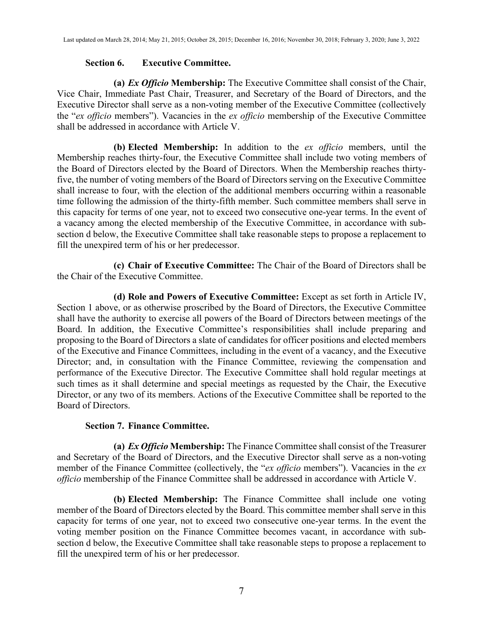#### **Section 6. Executive Committee.**

**(a)** *Ex Officio* **Membership:** The Executive Committee shall consist of the Chair, Vice Chair, Immediate Past Chair, Treasurer, and Secretary of the Board of Directors, and the Executive Director shall serve as a non-voting member of the Executive Committee (collectively the "*ex officio* members"). Vacancies in the *ex officio* membership of the Executive Committee shall be addressed in accordance with Article V.

**(b) Elected Membership:** In addition to the *ex officio* members, until the Membership reaches thirty-four, the Executive Committee shall include two voting members of the Board of Directors elected by the Board of Directors. When the Membership reaches thirtyfive, the number of voting members of the Board of Directors serving on the Executive Committee shall increase to four, with the election of the additional members occurring within a reasonable time following the admission of the thirty-fifth member. Such committee members shall serve in this capacity for terms of one year, not to exceed two consecutive one-year terms. In the event of a vacancy among the elected membership of the Executive Committee, in accordance with subsection d below, the Executive Committee shall take reasonable steps to propose a replacement to fill the unexpired term of his or her predecessor.

**(c) Chair of Executive Committee:** The Chair of the Board of Directors shall be the Chair of the Executive Committee.

**(d) Role and Powers of Executive Committee:** Except as set forth in Article IV, Section 1 above, or as otherwise proscribed by the Board of Directors, the Executive Committee shall have the authority to exercise all powers of the Board of Directors between meetings of the Board. In addition, the Executive Committee's responsibilities shall include preparing and proposing to the Board of Directors a slate of candidates for officer positions and elected members of the Executive and Finance Committees, including in the event of a vacancy, and the Executive Director; and, in consultation with the Finance Committee, reviewing the compensation and performance of the Executive Director. The Executive Committee shall hold regular meetings at such times as it shall determine and special meetings as requested by the Chair, the Executive Director, or any two of its members. Actions of the Executive Committee shall be reported to the Board of Directors.

### **Section 7. Finance Committee.**

**(a)** *Ex Officio* **Membership:** The Finance Committee shall consist of the Treasurer and Secretary of the Board of Directors, and the Executive Director shall serve as a non-voting member of the Finance Committee (collectively, the "*ex officio* members"). Vacancies in the *ex officio* membership of the Finance Committee shall be addressed in accordance with Article V.

**(b) Elected Membership:** The Finance Committee shall include one voting member of the Board of Directors elected by the Board. This committee member shall serve in this capacity for terms of one year, not to exceed two consecutive one-year terms. In the event the voting member position on the Finance Committee becomes vacant, in accordance with subsection d below, the Executive Committee shall take reasonable steps to propose a replacement to fill the unexpired term of his or her predecessor.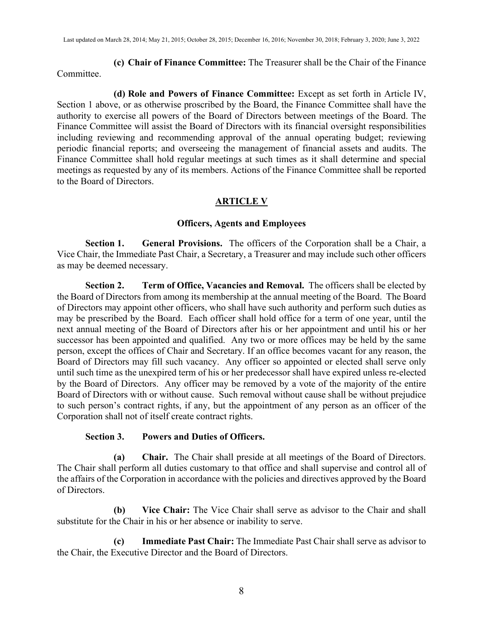**(c) Chair of Finance Committee:** The Treasurer shall be the Chair of the Finance Committee.

**(d) Role and Powers of Finance Committee:** Except as set forth in Article IV, Section 1 above, or as otherwise proscribed by the Board, the Finance Committee shall have the authority to exercise all powers of the Board of Directors between meetings of the Board. The Finance Committee will assist the Board of Directors with its financial oversight responsibilities including reviewing and recommending approval of the annual operating budget; reviewing periodic financial reports; and overseeing the management of financial assets and audits. The Finance Committee shall hold regular meetings at such times as it shall determine and special meetings as requested by any of its members. Actions of the Finance Committee shall be reported to the Board of Directors.

# **ARTICLE V**

### **Officers, Agents and Employees**

**Section 1. General Provisions.** The officers of the Corporation shall be a Chair, a Vice Chair, the Immediate Past Chair, a Secretary, a Treasurer and may include such other officers as may be deemed necessary.

**Section 2. Term of Office, Vacancies and Removal.** The officers shall be elected by the Board of Directors from among its membership at the annual meeting of the Board. The Board of Directors may appoint other officers, who shall have such authority and perform such duties as may be prescribed by the Board. Each officer shall hold office for a term of one year, until the next annual meeting of the Board of Directors after his or her appointment and until his or her successor has been appointed and qualified. Any two or more offices may be held by the same person, except the offices of Chair and Secretary. If an office becomes vacant for any reason, the Board of Directors may fill such vacancy. Any officer so appointed or elected shall serve only until such time as the unexpired term of his or her predecessor shall have expired unless re-elected by the Board of Directors. Any officer may be removed by a vote of the majority of the entire Board of Directors with or without cause. Such removal without cause shall be without prejudice to such person's contract rights, if any, but the appointment of any person as an officer of the Corporation shall not of itself create contract rights.

### **Section 3. Powers and Duties of Officers.**

**(a) Chair.** The Chair shall preside at all meetings of the Board of Directors. The Chair shall perform all duties customary to that office and shall supervise and control all of the affairs of the Corporation in accordance with the policies and directives approved by the Board of Directors.

**(b) Vice Chair:** The Vice Chair shall serve as advisor to the Chair and shall substitute for the Chair in his or her absence or inability to serve.

**(c) Immediate Past Chair:** The Immediate Past Chair shall serve as advisor to the Chair, the Executive Director and the Board of Directors.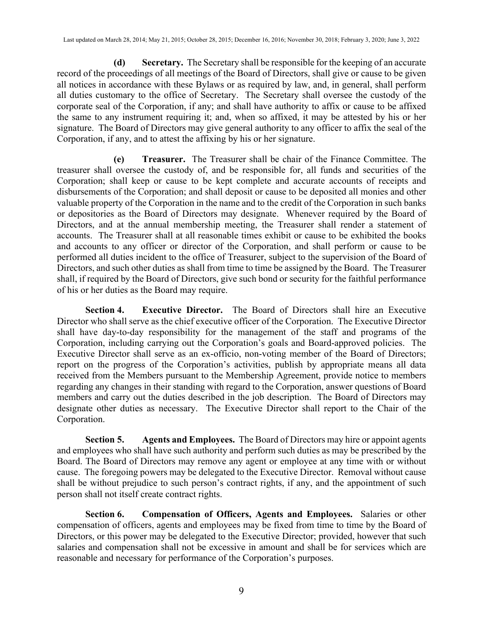**(d) Secretary.** The Secretary shall be responsible for the keeping of an accurate record of the proceedings of all meetings of the Board of Directors, shall give or cause to be given all notices in accordance with these Bylaws or as required by law, and, in general, shall perform all duties customary to the office of Secretary. The Secretary shall oversee the custody of the corporate seal of the Corporation, if any; and shall have authority to affix or cause to be affixed the same to any instrument requiring it; and, when so affixed, it may be attested by his or her signature. The Board of Directors may give general authority to any officer to affix the seal of the Corporation, if any, and to attest the affixing by his or her signature.

**(e) Treasurer.** The Treasurer shall be chair of the Finance Committee. The treasurer shall oversee the custody of, and be responsible for, all funds and securities of the Corporation; shall keep or cause to be kept complete and accurate accounts of receipts and disbursements of the Corporation; and shall deposit or cause to be deposited all monies and other valuable property of the Corporation in the name and to the credit of the Corporation in such banks or depositories as the Board of Directors may designate. Whenever required by the Board of Directors, and at the annual membership meeting, the Treasurer shall render a statement of accounts. The Treasurer shall at all reasonable times exhibit or cause to be exhibited the books and accounts to any officer or director of the Corporation, and shall perform or cause to be performed all duties incident to the office of Treasurer, subject to the supervision of the Board of Directors, and such other duties as shall from time to time be assigned by the Board. The Treasurer shall, if required by the Board of Directors, give such bond or security for the faithful performance of his or her duties as the Board may require.

**Section 4. Executive Director.** The Board of Directors shall hire an Executive Director who shall serve as the chief executive officer of the Corporation. The Executive Director shall have day-to-day responsibility for the management of the staff and programs of the Corporation, including carrying out the Corporation's goals and Board-approved policies. The Executive Director shall serve as an ex-officio, non-voting member of the Board of Directors; report on the progress of the Corporation's activities, publish by appropriate means all data received from the Members pursuant to the Membership Agreement, provide notice to members regarding any changes in their standing with regard to the Corporation, answer questions of Board members and carry out the duties described in the job description. The Board of Directors may designate other duties as necessary. The Executive Director shall report to the Chair of the Corporation.

**Section 5. Agents and Employees.** The Board of Directors may hire or appoint agents and employees who shall have such authority and perform such duties as may be prescribed by the Board. The Board of Directors may remove any agent or employee at any time with or without cause. The foregoing powers may be delegated to the Executive Director. Removal without cause shall be without prejudice to such person's contract rights, if any, and the appointment of such person shall not itself create contract rights.

**Section 6. Compensation of Officers, Agents and Employees.** Salaries or other compensation of officers, agents and employees may be fixed from time to time by the Board of Directors, or this power may be delegated to the Executive Director; provided, however that such salaries and compensation shall not be excessive in amount and shall be for services which are reasonable and necessary for performance of the Corporation's purposes.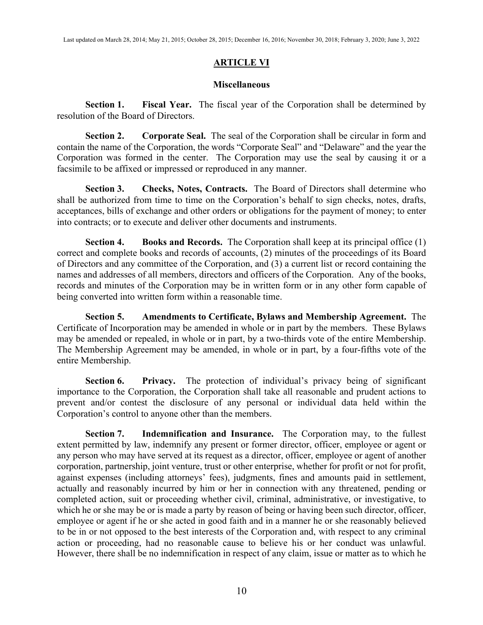# **ARTICLE VI**

## **Miscellaneous**

**Section 1. Fiscal Year.** The fiscal year of the Corporation shall be determined by resolution of the Board of Directors.

**Section 2. Corporate Seal.** The seal of the Corporation shall be circular in form and contain the name of the Corporation, the words "Corporate Seal" and "Delaware" and the year the Corporation was formed in the center. The Corporation may use the seal by causing it or a facsimile to be affixed or impressed or reproduced in any manner.

**Section 3. Checks, Notes, Contracts.** The Board of Directors shall determine who shall be authorized from time to time on the Corporation's behalf to sign checks, notes, drafts, acceptances, bills of exchange and other orders or obligations for the payment of money; to enter into contracts; or to execute and deliver other documents and instruments.

**Section 4. Books and Records.** The Corporation shall keep at its principal office (1) correct and complete books and records of accounts, (2) minutes of the proceedings of its Board of Directors and any committee of the Corporation, and (3) a current list or record containing the names and addresses of all members, directors and officers of the Corporation. Any of the books, records and minutes of the Corporation may be in written form or in any other form capable of being converted into written form within a reasonable time.

**Section 5. Amendments to Certificate, Bylaws and Membership Agreement.** The Certificate of Incorporation may be amended in whole or in part by the members. These Bylaws may be amended or repealed, in whole or in part, by a two-thirds vote of the entire Membership. The Membership Agreement may be amended, in whole or in part, by a four-fifths vote of the entire Membership.

**Section 6. Privacy.** The protection of individual's privacy being of significant importance to the Corporation, the Corporation shall take all reasonable and prudent actions to prevent and/or contest the disclosure of any personal or individual data held within the Corporation's control to anyone other than the members.

**Section 7. Indemnification and Insurance.** The Corporation may, to the fullest extent permitted by law, indemnify any present or former director, officer, employee or agent or any person who may have served at its request as a director, officer, employee or agent of another corporation, partnership, joint venture, trust or other enterprise, whether for profit or not for profit, against expenses (including attorneys' fees), judgments, fines and amounts paid in settlement, actually and reasonably incurred by him or her in connection with any threatened, pending or completed action, suit or proceeding whether civil, criminal, administrative, or investigative, to which he or she may be or is made a party by reason of being or having been such director, officer, employee or agent if he or she acted in good faith and in a manner he or she reasonably believed to be in or not opposed to the best interests of the Corporation and, with respect to any criminal action or proceeding, had no reasonable cause to believe his or her conduct was unlawful. However, there shall be no indemnification in respect of any claim, issue or matter as to which he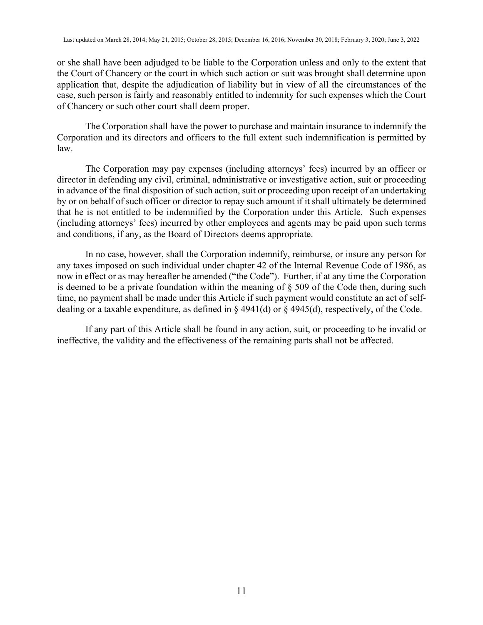or she shall have been adjudged to be liable to the Corporation unless and only to the extent that the Court of Chancery or the court in which such action or suit was brought shall determine upon application that, despite the adjudication of liability but in view of all the circumstances of the case, such person is fairly and reasonably entitled to indemnity for such expenses which the Court of Chancery or such other court shall deem proper.

The Corporation shall have the power to purchase and maintain insurance to indemnify the Corporation and its directors and officers to the full extent such indemnification is permitted by law.

The Corporation may pay expenses (including attorneys' fees) incurred by an officer or director in defending any civil, criminal, administrative or investigative action, suit or proceeding in advance of the final disposition of such action, suit or proceeding upon receipt of an undertaking by or on behalf of such officer or director to repay such amount if it shall ultimately be determined that he is not entitled to be indemnified by the Corporation under this Article. Such expenses (including attorneys' fees) incurred by other employees and agents may be paid upon such terms and conditions, if any, as the Board of Directors deems appropriate.

In no case, however, shall the Corporation indemnify, reimburse, or insure any person for any taxes imposed on such individual under chapter 42 of the Internal Revenue Code of 1986, as now in effect or as may hereafter be amended ("the Code"). Further, if at any time the Corporation is deemed to be a private foundation within the meaning of  $\S$  509 of the Code then, during such time, no payment shall be made under this Article if such payment would constitute an act of selfdealing or a taxable expenditure, as defined in § 4941(d) or § 4945(d), respectively, of the Code.

If any part of this Article shall be found in any action, suit, or proceeding to be invalid or ineffective, the validity and the effectiveness of the remaining parts shall not be affected.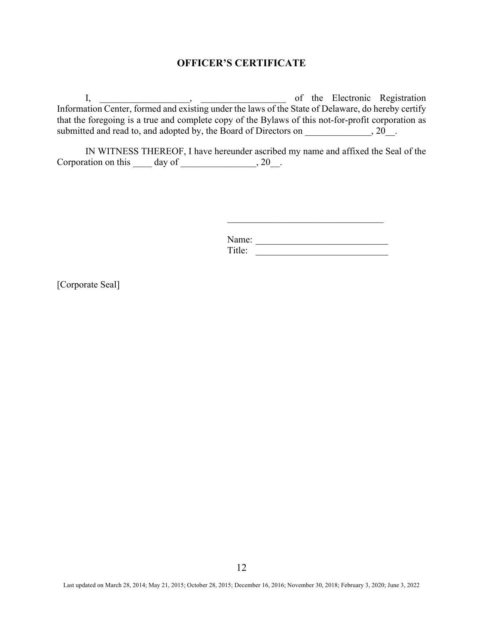# **OFFICER'S CERTIFICATE**

I, 1. 2003, 1. 2008, 1. 2008, 1. 2008, 1. 2008, 1. 2008, 1. 2008, 1. 2008, 1. 2008, 1. 2008, 1. 2008, 1. 2008, 1. 2008, 1. 2008, 1. 2008, 1. 2008, 1. 2008, 1. 2008, 1. 2008, 1. 2008, 1. 2008, 1. 2008, 1. 2008, 1. 2008, 1. Information Center, formed and existing under the laws of the State of Delaware, do hereby certify that the foregoing is a true and complete copy of the Bylaws of this not-for-profit corporation as submitted and read to, and adopted by, the Board of Directors on \_\_\_\_\_\_\_\_\_\_\_\_, 20\_\_.

IN WITNESS THEREOF, I have hereunder ascribed my name and affixed the Seal of the Corporation on this  $\_\_\_$  day of  $\_\_\_\_\_\_\_$ , 20 $\_\_\_\_\$ .

> Name: Title:

 $\overline{\phantom{a}}$  , where the contract of the contract of the contract of the contract of the contract of the contract of the contract of the contract of the contract of the contract of the contract of the contract of the contr

[Corporate Seal]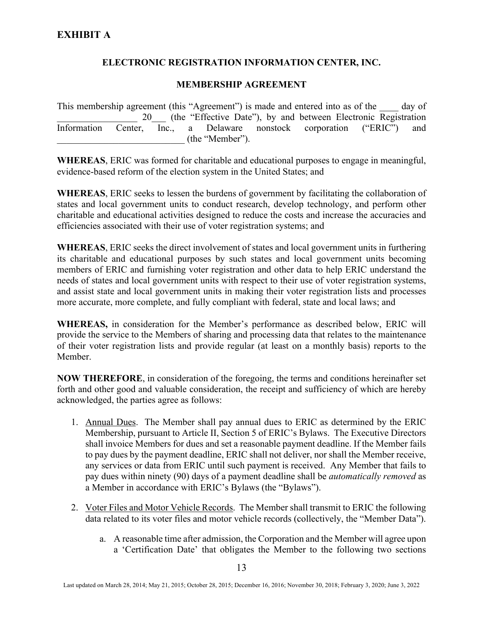# **ELECTRONIC REGISTRATION INFORMATION CENTER, INC.**

# **MEMBERSHIP AGREEMENT**

This membership agreement (this "Agreement") is made and entered into as of the day of 20 (the "Effective Date"), by and between Electronic Registration Information Center, Inc., a Delaware nonstock corporation ("ERIC") and \_\_\_\_\_\_\_\_\_\_\_\_\_\_\_\_\_\_\_\_\_\_\_\_\_\_\_ (the "Member").

**WHEREAS**, ERIC was formed for charitable and educational purposes to engage in meaningful, evidence-based reform of the election system in the United States; and

**WHEREAS**, ERIC seeks to lessen the burdens of government by facilitating the collaboration of states and local government units to conduct research, develop technology, and perform other charitable and educational activities designed to reduce the costs and increase the accuracies and efficiencies associated with their use of voter registration systems; and

**WHEREAS**, ERIC seeks the direct involvement of states and local government units in furthering its charitable and educational purposes by such states and local government units becoming members of ERIC and furnishing voter registration and other data to help ERIC understand the needs of states and local government units with respect to their use of voter registration systems, and assist state and local government units in making their voter registration lists and processes more accurate, more complete, and fully compliant with federal, state and local laws; and

**WHEREAS,** in consideration for the Member's performance as described below, ERIC will provide the service to the Members of sharing and processing data that relates to the maintenance of their voter registration lists and provide regular (at least on a monthly basis) reports to the Member.

**NOW THEREFORE**, in consideration of the foregoing, the terms and conditions hereinafter set forth and other good and valuable consideration, the receipt and sufficiency of which are hereby acknowledged, the parties agree as follows:

- 1. Annual Dues. The Member shall pay annual dues to ERIC as determined by the ERIC Membership, pursuant to Article II, Section 5 of ERIC's Bylaws. The Executive Directors shall invoice Members for dues and set a reasonable payment deadline. If the Member fails to pay dues by the payment deadline, ERIC shall not deliver, nor shall the Member receive, any services or data from ERIC until such payment is received. Any Member that fails to pay dues within ninety (90) days of a payment deadline shall be *automatically removed* as a Member in accordance with ERIC's Bylaws (the "Bylaws").
- 2. Voter Files and Motor Vehicle Records. The Member shall transmit to ERIC the following data related to its voter files and motor vehicle records (collectively, the "Member Data").
	- a. A reasonable time after admission, the Corporation and the Member will agree upon a 'Certification Date' that obligates the Member to the following two sections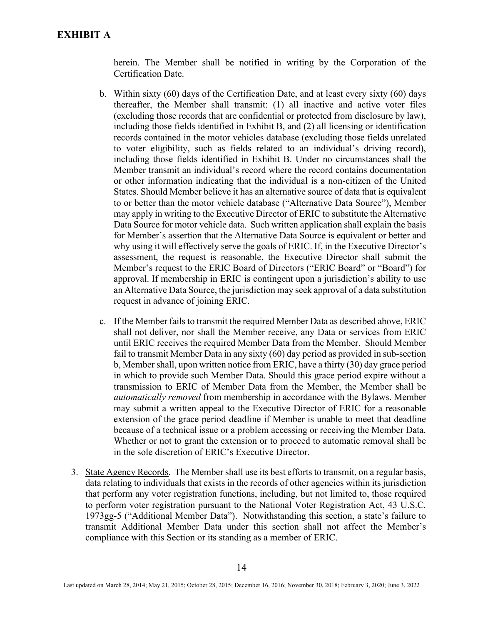herein. The Member shall be notified in writing by the Corporation of the Certification Date.

- b. Within sixty (60) days of the Certification Date, and at least every sixty (60) days thereafter, the Member shall transmit: (1) all inactive and active voter files (excluding those records that are confidential or protected from disclosure by law), including those fields identified in Exhibit B, and (2) all licensing or identification records contained in the motor vehicles database (excluding those fields unrelated to voter eligibility, such as fields related to an individual's driving record), including those fields identified in Exhibit B. Under no circumstances shall the Member transmit an individual's record where the record contains documentation or other information indicating that the individual is a non-citizen of the United States. Should Member believe it has an alternative source of data that is equivalent to or better than the motor vehicle database ("Alternative Data Source"), Member may apply in writing to the Executive Director of ERIC to substitute the Alternative Data Source for motor vehicle data. Such written application shall explain the basis for Member's assertion that the Alternative Data Source is equivalent or better and why using it will effectively serve the goals of ERIC. If, in the Executive Director's assessment, the request is reasonable, the Executive Director shall submit the Member's request to the ERIC Board of Directors ("ERIC Board" or "Board") for approval. If membership in ERIC is contingent upon a jurisdiction's ability to use an Alternative Data Source, the jurisdiction may seek approval of a data substitution request in advance of joining ERIC.
- c. If the Member fails to transmit the required Member Data as described above, ERIC shall not deliver, nor shall the Member receive, any Data or services from ERIC until ERIC receives the required Member Data from the Member. Should Member fail to transmit Member Data in any sixty (60) day period as provided in sub-section b, Member shall, upon written notice from ERIC, have a thirty (30) day grace period in which to provide such Member Data. Should this grace period expire without a transmission to ERIC of Member Data from the Member, the Member shall be *automatically removed* from membership in accordance with the Bylaws. Member may submit a written appeal to the Executive Director of ERIC for a reasonable extension of the grace period deadline if Member is unable to meet that deadline because of a technical issue or a problem accessing or receiving the Member Data. Whether or not to grant the extension or to proceed to automatic removal shall be in the sole discretion of ERIC's Executive Director.
- 3. State Agency Records. The Member shall use its best efforts to transmit, on a regular basis, data relating to individuals that exists in the records of other agencies within its jurisdiction that perform any voter registration functions, including, but not limited to, those required to perform voter registration pursuant to the National Voter Registration Act, 43 U.S.C. 1973gg-5 ("Additional Member Data"). Notwithstanding this section, a state's failure to transmit Additional Member Data under this section shall not affect the Member's compliance with this Section or its standing as a member of ERIC.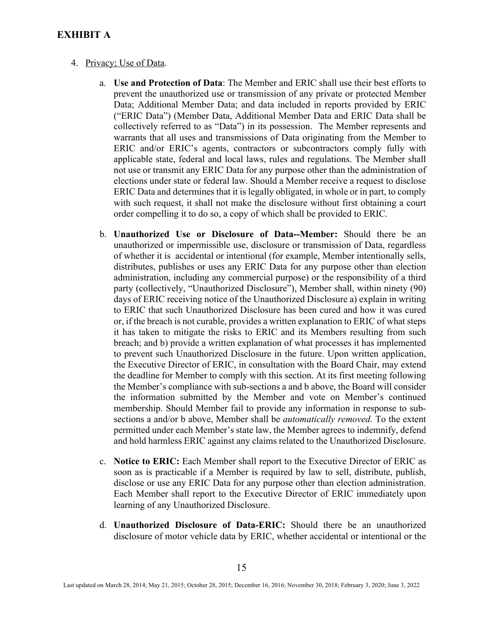# **EXHIBIT A**

#### 4. Privacy; Use of Data.

- a. **Use and Protection of Data**: The Member and ERIC shall use their best efforts to prevent the unauthorized use or transmission of any private or protected Member Data; Additional Member Data; and data included in reports provided by ERIC ("ERIC Data") (Member Data, Additional Member Data and ERIC Data shall be collectively referred to as "Data") in its possession. The Member represents and warrants that all uses and transmissions of Data originating from the Member to ERIC and/or ERIC's agents, contractors or subcontractors comply fully with applicable state, federal and local laws, rules and regulations. The Member shall not use or transmit any ERIC Data for any purpose other than the administration of elections under state or federal law. Should a Member receive a request to disclose ERIC Data and determines that it is legally obligated, in whole or in part, to comply with such request, it shall not make the disclosure without first obtaining a court order compelling it to do so, a copy of which shall be provided to ERIC.
- b. **Unauthorized Use or Disclosure of Data--Member:** Should there be an unauthorized or impermissible use, disclosure or transmission of Data, regardless of whether it is accidental or intentional (for example, Member intentionally sells, distributes, publishes or uses any ERIC Data for any purpose other than election administration, including any commercial purpose) or the responsibility of a third party (collectively, "Unauthorized Disclosure"), Member shall, within ninety (90) days of ERIC receiving notice of the Unauthorized Disclosure a) explain in writing to ERIC that such Unauthorized Disclosure has been cured and how it was cured or, if the breach is not curable, provides a written explanation to ERIC of what steps it has taken to mitigate the risks to ERIC and its Members resulting from such breach; and b) provide a written explanation of what processes it has implemented to prevent such Unauthorized Disclosure in the future. Upon written application, the Executive Director of ERIC, in consultation with the Board Chair, may extend the deadline for Member to comply with this section. At its first meeting following the Member's compliance with sub-sections a and b above, the Board will consider the information submitted by the Member and vote on Member's continued membership. Should Member fail to provide any information in response to subsections a and/or b above, Member shall be *automatically removed.* To the extent permitted under each Member's state law, the Member agrees to indemnify, defend and hold harmless ERIC against any claims related to the Unauthorized Disclosure.
- c. **Notice to ERIC:** Each Member shall report to the Executive Director of ERIC as soon as is practicable if a Member is required by law to sell, distribute, publish, disclose or use any ERIC Data for any purpose other than election administration. Each Member shall report to the Executive Director of ERIC immediately upon learning of any Unauthorized Disclosure.
- d. **Unauthorized Disclosure of Data-ERIC:** Should there be an unauthorized disclosure of motor vehicle data by ERIC, whether accidental or intentional or the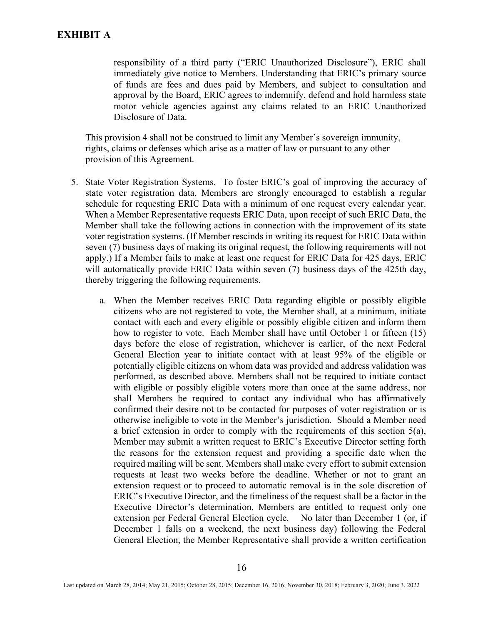responsibility of a third party ("ERIC Unauthorized Disclosure"), ERIC shall immediately give notice to Members. Understanding that ERIC's primary source of funds are fees and dues paid by Members, and subject to consultation and approval by the Board, ERIC agrees to indemnify, defend and hold harmless state motor vehicle agencies against any claims related to an ERIC Unauthorized Disclosure of Data.

This provision 4 shall not be construed to limit any Member's sovereign immunity, rights, claims or defenses which arise as a matter of law or pursuant to any other provision of this Agreement.

- 5. State Voter Registration Systems. To foster ERIC's goal of improving the accuracy of state voter registration data, Members are strongly encouraged to establish a regular schedule for requesting ERIC Data with a minimum of one request every calendar year. When a Member Representative requests ERIC Data, upon receipt of such ERIC Data, the Member shall take the following actions in connection with the improvement of its state voter registration systems. (If Member rescinds in writing its request for ERIC Data within seven (7) business days of making its original request, the following requirements will not apply.) If a Member fails to make at least one request for ERIC Data for 425 days, ERIC will automatically provide ERIC Data within seven (7) business days of the 425th day, thereby triggering the following requirements.
	- a. When the Member receives ERIC Data regarding eligible or possibly eligible citizens who are not registered to vote, the Member shall, at a minimum, initiate contact with each and every eligible or possibly eligible citizen and inform them how to register to vote. Each Member shall have until October 1 or fifteen (15) days before the close of registration, whichever is earlier, of the next Federal General Election year to initiate contact with at least 95% of the eligible or potentially eligible citizens on whom data was provided and address validation was performed, as described above. Members shall not be required to initiate contact with eligible or possibly eligible voters more than once at the same address, nor shall Members be required to contact any individual who has affirmatively confirmed their desire not to be contacted for purposes of voter registration or is otherwise ineligible to vote in the Member's jurisdiction. Should a Member need a brief extension in order to comply with the requirements of this section 5(a), Member may submit a written request to ERIC's Executive Director setting forth the reasons for the extension request and providing a specific date when the required mailing will be sent. Members shall make every effort to submit extension requests at least two weeks before the deadline. Whether or not to grant an extension request or to proceed to automatic removal is in the sole discretion of ERIC's Executive Director, and the timeliness of the request shall be a factor in the Executive Director's determination. Members are entitled to request only one extension per Federal General Election cycle. No later than December 1 (or, if December 1 falls on a weekend, the next business day) following the Federal General Election, the Member Representative shall provide a written certification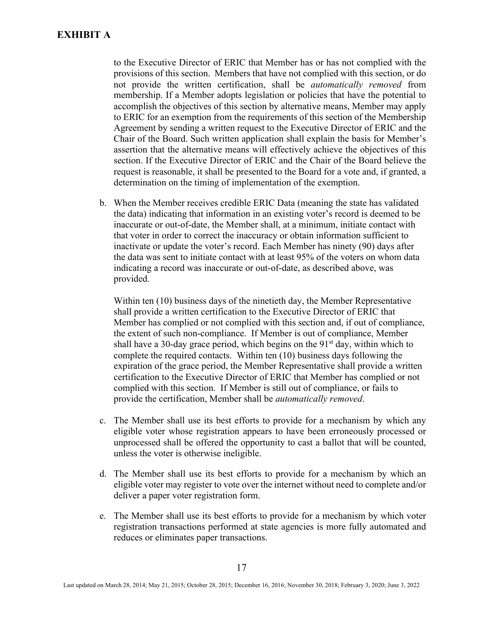to the Executive Director of ERIC that Member has or has not complied with the provisions of this section. Members that have not complied with this section, or do not provide the written certification, shall be *automatically removed* from membership. If a Member adopts legislation or policies that have the potential to accomplish the objectives of this section by alternative means, Member may apply to ERIC for an exemption from the requirements of this section of the Membership Agreement by sending a written request to the Executive Director of ERIC and the Chair of the Board. Such written application shall explain the basis for Member's assertion that the alternative means will effectively achieve the objectives of this section. If the Executive Director of ERIC and the Chair of the Board believe the request is reasonable, it shall be presented to the Board for a vote and, if granted, a determination on the timing of implementation of the exemption.

b. When the Member receives credible ERIC Data (meaning the state has validated the data) indicating that information in an existing voter's record is deemed to be inaccurate or out-of-date, the Member shall, at a minimum, initiate contact with that voter in order to correct the inaccuracy or obtain information sufficient to inactivate or update the voter's record. Each Member has ninety (90) days after the data was sent to initiate contact with at least 95% of the voters on whom data indicating a record was inaccurate or out-of-date, as described above, was provided.

Within ten (10) business days of the ninetieth day, the Member Representative shall provide a written certification to the Executive Director of ERIC that Member has complied or not complied with this section and, if out of compliance, the extent of such non-compliance. If Member is out of compliance, Member shall have a 30-day grace period, which begins on the  $91<sup>st</sup>$  day, within which to complete the required contacts. Within ten (10) business days following the expiration of the grace period, the Member Representative shall provide a written certification to the Executive Director of ERIC that Member has complied or not complied with this section. If Member is still out of compliance, or fails to provide the certification, Member shall be *automatically removed*.

- c. The Member shall use its best efforts to provide for a mechanism by which any eligible voter whose registration appears to have been erroneously processed or unprocessed shall be offered the opportunity to cast a ballot that will be counted, unless the voter is otherwise ineligible.
- d. The Member shall use its best efforts to provide for a mechanism by which an eligible voter may register to vote over the internet without need to complete and/or deliver a paper voter registration form.
- e. The Member shall use its best efforts to provide for a mechanism by which voter registration transactions performed at state agencies is more fully automated and reduces or eliminates paper transactions.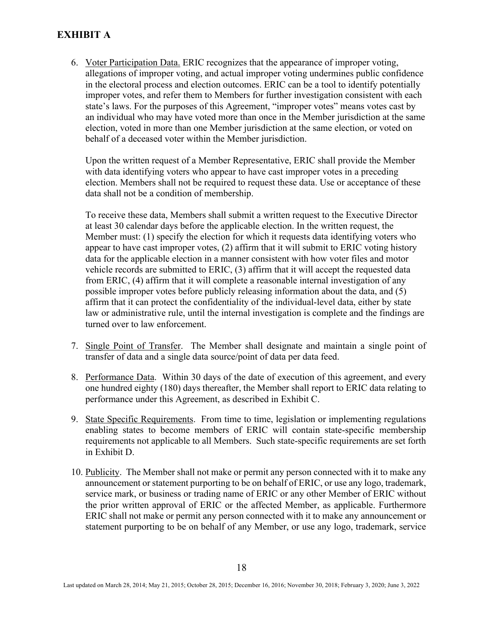# **EXHIBIT A**

6. Voter Participation Data. ERIC recognizes that the appearance of improper voting, allegations of improper voting, and actual improper voting undermines public confidence in the electoral process and election outcomes. ERIC can be a tool to identify potentially improper votes, and refer them to Members for further investigation consistent with each state's laws. For the purposes of this Agreement, "improper votes" means votes cast by an individual who may have voted more than once in the Member jurisdiction at the same election, voted in more than one Member jurisdiction at the same election, or voted on behalf of a deceased voter within the Member jurisdiction.

Upon the written request of a Member Representative, ERIC shall provide the Member with data identifying voters who appear to have cast improper votes in a preceding election. Members shall not be required to request these data. Use or acceptance of these data shall not be a condition of membership.

To receive these data, Members shall submit a written request to the Executive Director at least 30 calendar days before the applicable election. In the written request, the Member must: (1) specify the election for which it requests data identifying voters who appear to have cast improper votes, (2) affirm that it will submit to ERIC voting history data for the applicable election in a manner consistent with how voter files and motor vehicle records are submitted to ERIC, (3) affirm that it will accept the requested data from ERIC, (4) affirm that it will complete a reasonable internal investigation of any possible improper votes before publicly releasing information about the data, and (5) affirm that it can protect the confidentiality of the individual-level data, either by state law or administrative rule, until the internal investigation is complete and the findings are turned over to law enforcement.

- 7. Single Point of Transfer. The Member shall designate and maintain a single point of transfer of data and a single data source/point of data per data feed.
- 8. Performance Data. Within 30 days of the date of execution of this agreement, and every one hundred eighty (180) days thereafter, the Member shall report to ERIC data relating to performance under this Agreement, as described in Exhibit C.
- 9. State Specific Requirements. From time to time, legislation or implementing regulations enabling states to become members of ERIC will contain state-specific membership requirements not applicable to all Members. Such state-specific requirements are set forth in Exhibit D.
- 10. Publicity. The Member shall not make or permit any person connected with it to make any announcement or statement purporting to be on behalf of ERIC, or use any logo, trademark, service mark, or business or trading name of ERIC or any other Member of ERIC without the prior written approval of ERIC or the affected Member, as applicable. Furthermore ERIC shall not make or permit any person connected with it to make any announcement or statement purporting to be on behalf of any Member, or use any logo, trademark, service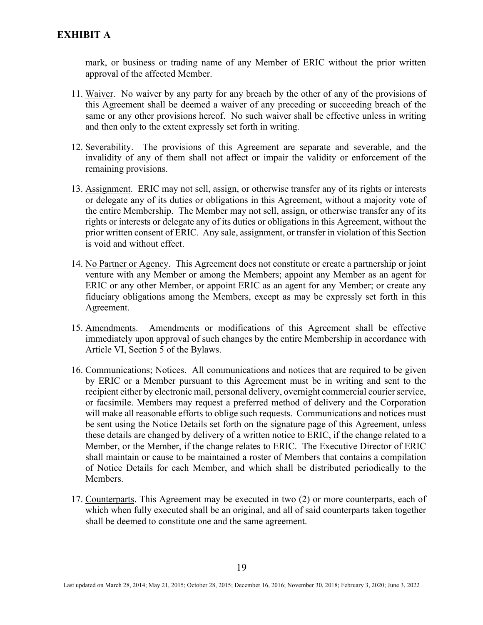mark, or business or trading name of any Member of ERIC without the prior written approval of the affected Member.

- 11. Waiver. No waiver by any party for any breach by the other of any of the provisions of this Agreement shall be deemed a waiver of any preceding or succeeding breach of the same or any other provisions hereof. No such waiver shall be effective unless in writing and then only to the extent expressly set forth in writing.
- 12. Severability. The provisions of this Agreement are separate and severable, and the invalidity of any of them shall not affect or impair the validity or enforcement of the remaining provisions.
- 13. Assignment. ERIC may not sell, assign, or otherwise transfer any of its rights or interests or delegate any of its duties or obligations in this Agreement, without a majority vote of the entire Membership. The Member may not sell, assign, or otherwise transfer any of its rights or interests or delegate any of its duties or obligations in this Agreement, without the prior written consent of ERIC. Any sale, assignment, or transfer in violation of this Section is void and without effect.
- 14. No Partner or Agency. This Agreement does not constitute or create a partnership or joint venture with any Member or among the Members; appoint any Member as an agent for ERIC or any other Member, or appoint ERIC as an agent for any Member; or create any fiduciary obligations among the Members, except as may be expressly set forth in this Agreement.
- 15. Amendments. Amendments or modifications of this Agreement shall be effective immediately upon approval of such changes by the entire Membership in accordance with Article VI, Section 5 of the Bylaws.
- 16. Communications; Notices. All communications and notices that are required to be given by ERIC or a Member pursuant to this Agreement must be in writing and sent to the recipient either by electronic mail, personal delivery, overnight commercial courier service, or facsimile. Members may request a preferred method of delivery and the Corporation will make all reasonable efforts to oblige such requests. Communications and notices must be sent using the Notice Details set forth on the signature page of this Agreement, unless these details are changed by delivery of a written notice to ERIC, if the change related to a Member, or the Member, if the change relates to ERIC. The Executive Director of ERIC shall maintain or cause to be maintained a roster of Members that contains a compilation of Notice Details for each Member, and which shall be distributed periodically to the Members.
- 17. Counterparts. This Agreement may be executed in two (2) or more counterparts, each of which when fully executed shall be an original, and all of said counterparts taken together shall be deemed to constitute one and the same agreement.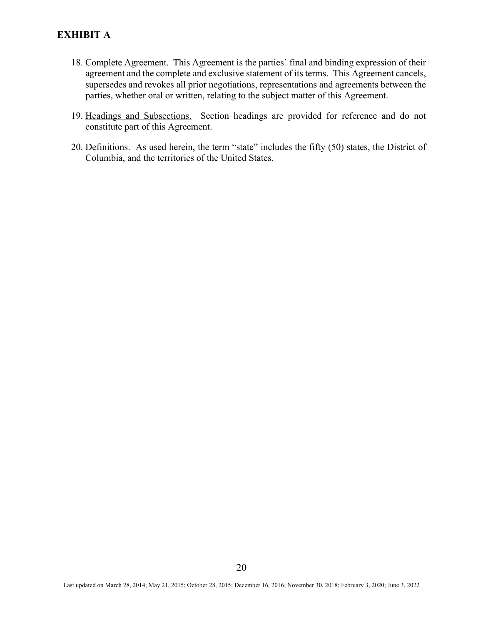# **EXHIBIT A**

- 18. Complete Agreement. This Agreement is the parties' final and binding expression of their agreement and the complete and exclusive statement of its terms. This Agreement cancels, supersedes and revokes all prior negotiations, representations and agreements between the parties, whether oral or written, relating to the subject matter of this Agreement.
- 19. Headings and Subsections. Section headings are provided for reference and do not constitute part of this Agreement.
- 20. Definitions. As used herein, the term "state" includes the fifty (50) states, the District of Columbia, and the territories of the United States.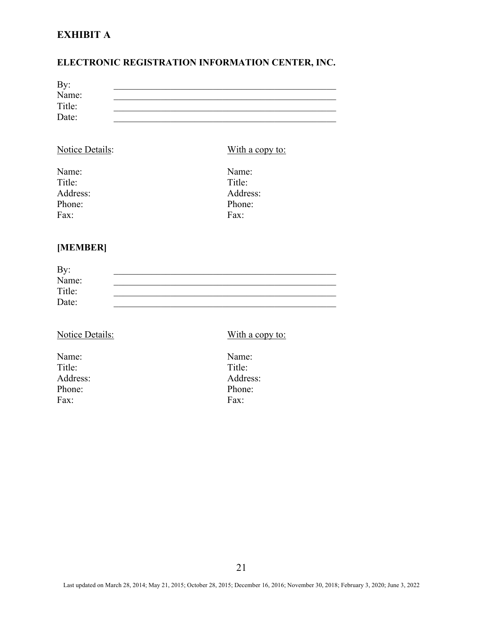# **EXHIBIT A**

# **ELECTRONIC REGISTRATION INFORMATION CENTER, INC.**

| By:    |  |
|--------|--|
| Name:  |  |
| Title: |  |
| Date:  |  |
|        |  |

| Notice Details: | With a copy to: |
|-----------------|-----------------|
| Name:           | Name:           |
| Title:          | Title:          |
| Address:        | Address:        |
| Phone:          | Phone:          |
| Fax:            | Fax:            |

# **[MEMBER]**

| By:    |  |
|--------|--|
| Name:  |  |
| Title: |  |
| Date:  |  |

# Notice Details: With a copy to:

Name: Name: Title: Title: Phone: Phone: Phone: Phone: Phone: Phone: Phone: Phone: Phone: Phone: Phone: Phone: Phone: Phone: Phone: Phone: Phone: Phone: Phone: Phone: Phone: Phone: Phone: Phone: Phone: Phone: Phone: Phone: Phone: Phone: Phone: Phone Fax: Fax:

Address: Address: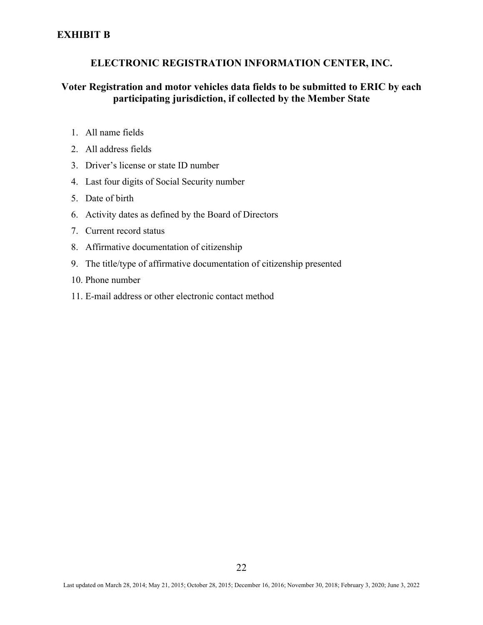# **ELECTRONIC REGISTRATION INFORMATION CENTER, INC.**

# **Voter Registration and motor vehicles data fields to be submitted to ERIC by each participating jurisdiction, if collected by the Member State**

- 1. All name fields
- 2. All address fields
- 3. Driver's license or state ID number
- 4. Last four digits of Social Security number
- 5. Date of birth
- 6. Activity dates as defined by the Board of Directors
- 7. Current record status
- 8. Affirmative documentation of citizenship
- 9. The title/type of affirmative documentation of citizenship presented
- 10. Phone number
- 11. E-mail address or other electronic contact method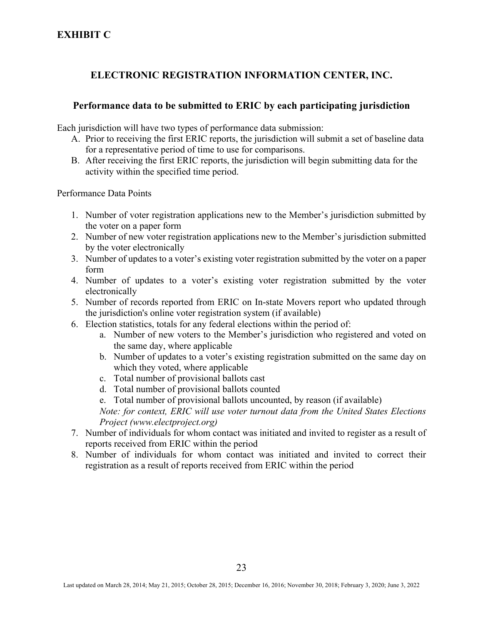# **ELECTRONIC REGISTRATION INFORMATION CENTER, INC.**

# **Performance data to be submitted to ERIC by each participating jurisdiction**

Each jurisdiction will have two types of performance data submission:

- A. Prior to receiving the first ERIC reports, the jurisdiction will submit a set of baseline data for a representative period of time to use for comparisons.
- B. After receiving the first ERIC reports, the jurisdiction will begin submitting data for the activity within the specified time period.

Performance Data Points

- 1. Number of voter registration applications new to the Member's jurisdiction submitted by the voter on a paper form
- 2. Number of new voter registration applications new to the Member's jurisdiction submitted by the voter electronically
- 3. Number of updates to a voter's existing voter registration submitted by the voter on a paper form
- 4. Number of updates to a voter's existing voter registration submitted by the voter electronically
- 5. Number of records reported from ERIC on In-state Movers report who updated through the jurisdiction's online voter registration system (if available)
- 6. Election statistics, totals for any federal elections within the period of:
	- a. Number of new voters to the Member's jurisdiction who registered and voted on the same day, where applicable
	- b. Number of updates to a voter's existing registration submitted on the same day on which they voted, where applicable
	- c. Total number of provisional ballots cast
	- d. Total number of provisional ballots counted
	- e. Total number of provisional ballots uncounted, by reason (if available)

*Note: for context, ERIC will use voter turnout data from the United States Elections Project (www.electproject.org)*

- 7. Number of individuals for whom contact was initiated and invited to register as a result of reports received from ERIC within the period
- 8. Number of individuals for whom contact was initiated and invited to correct their registration as a result of reports received from ERIC within the period